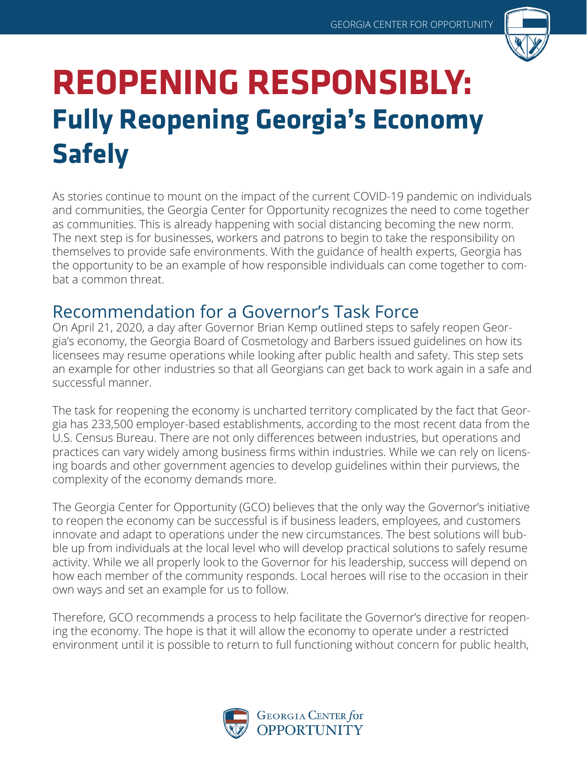

# **REOPENING RESPONSIBLY: Fully Reopening Georgia's Economy Safely**

As stories continue to mount on the impact of the current COVID-19 pandemic on individuals and communities, the Georgia Center for Opportunity recognizes the need to come together as communities. This is already happening with social distancing becoming the new norm. The next step is for businesses, workers and patrons to begin to take the responsibility on themselves to provide safe environments. With the guidance of health experts, Georgia has the opportunity to be an example of how responsible individuals can come together to combat a common threat.

### Recommendation for a Governor's Task Force

On April 21, 2020, a day after Governor Brian Kemp outlined steps to safely reopen Georgia's economy, the Georgia Board of Cosmetology and Barbers issued guidelines on how its licensees may resume operations while looking after public health and safety. This step sets an example for other industries so that all Georgians can get back to work again in a safe and successful manner.

The task for reopening the economy is uncharted territory complicated by the fact that Georgia has 233,500 employer-based establishments, according to the most recent data from the U.S. Census Bureau. There are not only differences between industries, but operations and practices can vary widely among business firms within industries. While we can rely on licensing boards and other government agencies to develop guidelines within their purviews, the complexity of the economy demands more.

The Georgia Center for Opportunity (GCO) believes that the only way the Governor's initiative to reopen the economy can be successful is if business leaders, employees, and customers innovate and adapt to operations under the new circumstances. The best solutions will bubble up from individuals at the local level who will develop practical solutions to safely resume activity. While we all properly look to the Governor for his leadership, success will depend on how each member of the community responds. Local heroes will rise to the occasion in their own ways and set an example for us to follow.

Therefore, GCO recommends a process to help facilitate the Governor's directive for reopening the economy. The hope is that it will allow the economy to operate under a restricted environment until it is possible to return to full functioning without concern for public health,

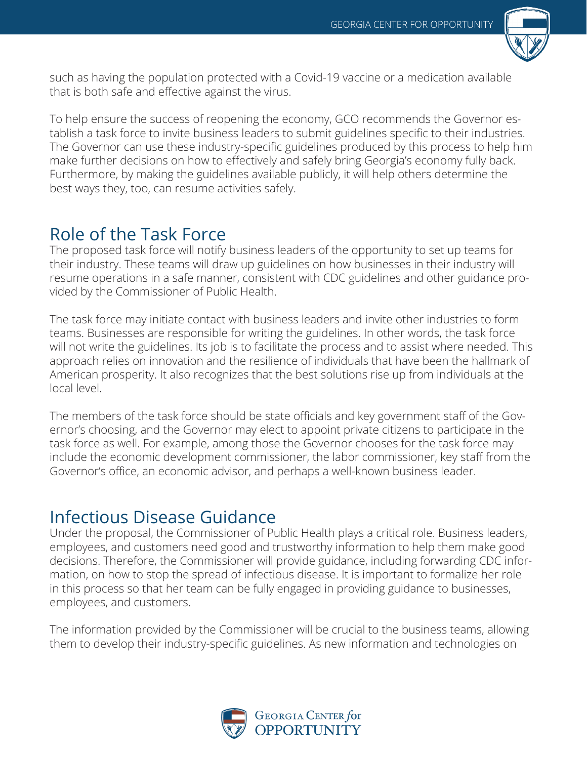

such as having the population protected with a Covid-19 vaccine or a medication available that is both safe and effective against the virus.

To help ensure the success of reopening the economy, GCO recommends the Governor establish a task force to invite business leaders to submit guidelines specific to their industries. The Governor can use these industry-specific guidelines produced by this process to help him make further decisions on how to effectively and safely bring Georgia's economy fully back. Furthermore, by making the guidelines available publicly, it will help others determine the best ways they, too, can resume activities safely.

## Role of the Task Force

The proposed task force will notify business leaders of the opportunity to set up teams for their industry. These teams will draw up guidelines on how businesses in their industry will resume operations in a safe manner, consistent with CDC guidelines and other guidance provided by the Commissioner of Public Health.

The task force may initiate contact with business leaders and invite other industries to form teams. Businesses are responsible for writing the guidelines. In other words, the task force will not write the guidelines. Its job is to facilitate the process and to assist where needed. This approach relies on innovation and the resilience of individuals that have been the hallmark of American prosperity. It also recognizes that the best solutions rise up from individuals at the local level.

The members of the task force should be state officials and key government staff of the Governor's choosing, and the Governor may elect to appoint private citizens to participate in the task force as well. For example, among those the Governor chooses for the task force may include the economic development commissioner, the labor commissioner, key staff from the Governor's office, an economic advisor, and perhaps a well-known business leader.

## Infectious Disease Guidance

Under the proposal, the Commissioner of Public Health plays a critical role. Business leaders, employees, and customers need good and trustworthy information to help them make good decisions. Therefore, the Commissioner will provide guidance, including forwarding CDC information, on how to stop the spread of infectious disease. It is important to formalize her role in this process so that her team can be fully engaged in providing guidance to businesses, employees, and customers.

The information provided by the Commissioner will be crucial to the business teams, allowing them to develop their industry-specific guidelines. As new information and technologies on